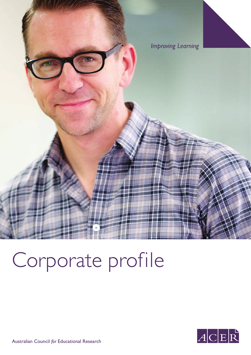

# Corporate profile



Australian Council *for* Educational Research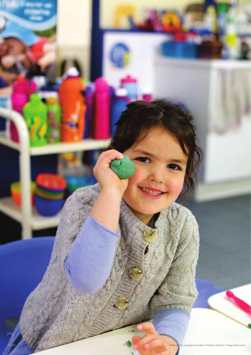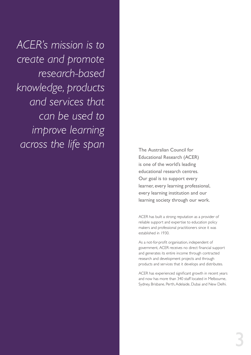*ACER's mission is to create and promote research‑based knowledge, products and services that can be used to improve learning across the life span*

The Australian Council for Educational Research (ACER) is one of the world's leading educational research centres. Our goal is to support every learner, every learning professional, every learning institution and our learning society through our work.

ACER has built a strong reputation as a provider of reliable support and expertise to education policy makers and professional practitioners since it was established in 1930.

As a not-for-profit organisation, independent of government, ACER receives no direct financial support and generates its entire income through contracted research and development projects and through products and services that it develops and distributes.

ACER has experienced significant growth in recent years and now has more than 340 staff located in Melbourne, Sydney, Brisbane, Perth, Adelaide, Dubai and New Delhi.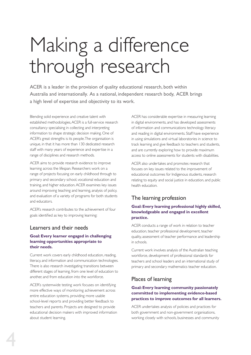## Making a difference through research

ACER is a leader in the provision of quality educational research, both within Australia and internationally. As a national, independent research body, ACER brings a high level of expertise and objectivity to its work.

Blending solid experience and creative talent with established methodologies, ACER is a full-service research consultancy specialising in collecting and interpreting information to shape strategic decision making. One of ACER's great strengths is its people. The organisation is unique, in that it has more than 130 dedicated research staff with many years of experience and expertise in a range of disciplines and research methods.

ACER aims to provide research evidence to improve learning across the lifespan. Researchers work on a range of projects focusing on early childhood through to primary and secondary school, vocational education and training, and higher education. ACER examines key issues around improving teaching and learning, analysis of policy, and evaluation of a variety of programs for both students and educators.

ACER's research contributes to the achievement of four goals identified as key to improving learning:

#### Learners and their needs

#### **Goal: Every learner engaged in challenging learning opportunities appropriate to their needs.**

Current work covers early childhood education, reading, literacy, and information and communication technologies. There is also research investigating transitions between different stages of learning, from one level of education to another, and from education into the workforce.

ACER's systemwide testing work focuses on identifying more effective ways of monitoring achievement across entire education systems, providing more usable school-level reports and providing better feedback to teachers and parents. Projects are designed to provide educational decision makers with improved information about student learning.

ACER has considerable expertise in measuring learning in digital environments, and has developed assessments of information and communications technology literacy and reading in digital environments. Staff have experience in using simulations and virtual laboratories in science to track learning and give feedback to teachers and students, and are currently exploring how to provide maximum access to online assessments for students with disabilities.

ACER also undertakes and promotes research that focuses on key issues related to the improvement of educational outcomes for Indigenous students, research relating to equity and social justice in education, and public health education.

### The learning profession

#### **Goal: Every learning professional highly skilled, knowledgeable and engaged in excellent practice.**

ACER conducts a range of work in relation to teacher education, teacher professional development, teacher quality, assessment of teacher performance and leadership in schools.

Current work involves analysis of the Australian teaching workforce, development of professional standards for teachers and school leaders and an international study of primary and secondary mathematics teacher education.

### Places of learning

#### **Goal: Every learning community passionately committed to implementing evidence-based practices to improve outcomes for all learners.**

ACER undertakes analysis of policies and practices for both government and non-government organisations, working closely with schools, businesses and community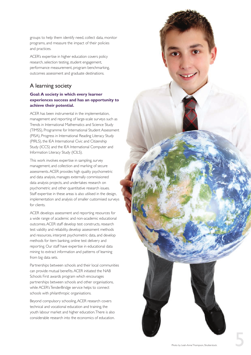groups to help them identify need, collect data, monitor programs, and measure the impact of their policies and practices.

ACER's expertise in higher education covers policy research, selection testing, student engagement, performance measurement, program benchmarking, outcomes assessment and graduate destinations.

### A learning society

#### **Goal: A society in which every learner experiences success and has an opportunity to achieve their potential.**

ACER has been instrumental in the implementation, management and reporting of large-scale surveys such as Trends in International Mathematics and Science Study (TIMSS), Programme for International Student Assessment (PISA), Progress in International Reading Literacy Study (PIRLS), the IEA International Civic and Citizenship Study (ICCS) and the IEA International Computer and Information Literacy Study (ICILS).

This work involves expertise in sampling, survey management, and collection and marking of secure assessments. ACER provides high quality psychometric and data analysis, manages externally commissioned data analysis projects, and undertakes research on psychometric and other quantitative research issues. Staff expertise in these areas is also utilised in the design, implementation and analysis of smaller customised surveys for clients.

ACER develops assessment and reporting resources for a wide range of academic and non-academic educational outcomes. ACER staff develop test constructs, research test validity and reliability, develop assessment methods and resources, interpret psychometric data, and develop methods for item banking, online test delivery and reporting. Our staff have expertise in educational data mining to extract information and patterns of learning from big data sets.

Partnerships between schools and their local communities can provide mutual benefits. ACER initiated the NAB Schools First awards program which encourages partnerships between schools and other organisations, while ACER's TenderBridge service helps to connect schools with philanthropic organisations.

Beyond compulsory schooling, ACER research covers technical and vocational education and training, the youth labour market and higher education. There is also considerable research into the economics of education.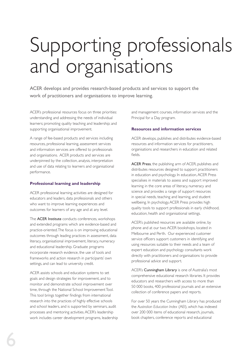## Supporting professionals and organisations

ACER develops and provides research-based products and services to support the work of practitioners and organisations to improve learning.

ACER's professional resources focus on three priorities: understanding and addressing the needs of individual learners; promoting quality teaching and leadership; and supporting organisational improvement.

A range of fee-based products and services including resources, professional learning, assessment services and information services are offered to professionals and organisations. ACER products and services are underpinned by the collection, analysis, interpretation and use of data relating to learners and organisational performance.

#### **Professional learning and leadership**

ACER professional learning activities are designed for educators and leaders, data professionals and others who want to improve learning experiences and outcomes for learners of any age and at any level.

The ACER Institute conducts conferences, workshops and extended programs which are evidence-based and practice-oriented. The focus is on improving educational outcomes through leading practices in assessment, data literacy, organisational improvement, literacy, numeracy and educational leadership. Graduate programs incorporate research evidence, the use of tools and frameworks and action research in participants' own settings, and can lead to university credit.

ACER assists schools and education systems to set goals and design strategies for improvement, and to monitor and demonstrate school improvement over time, through the National School Improvement Tool. This tool brings together findings from international research into the practices of highly effective schools and school leaders, and is supported by seminars, audit processes and mentoring activities. ACER's leadership work includes career development programs, leadership and management courses, information services and the Principal for a Day program.

#### **Resources and information services**

ACER develops, publishes and distributes evidence-based resources and information services for practitioners, organisations and researchers in education and related fields.

ACER Press, the publishing arm of ACER, publishes and distributes resources designed to support practitioners in education and psychology. In education, ACER Press specialises in materials to assess and support improved learning in the core areas of literacy, numeracy and science and provides a range of support resources in special needs, teaching and learning, and student wellbeing. In psychology, ACER Press provides high quality tools to support professionals in early childhood, education, health and organisational settings.

ACER's published resources are available online, by phone and at our two ACER bookshops, located in Melbourne and Perth. Our experienced customer service officers support customers in identifying and using resources suitable to their needs and a team of expert education and psychology consultants work directly with practitioners and organisations to provide professional advice and support.

ACER's Cunningham Library is one of Australia's most comprehensive educational research libraries. It provides educators and researchers with access to more than 50 000 books, 400 professional journals and an extensive collection of conference papers and reports.

For over 50 years the Cunningham Library has produced the *Australian Education Index* (AEI), which has indexed over 200 000 items of educational research, journals, book chapters, conference reports and educational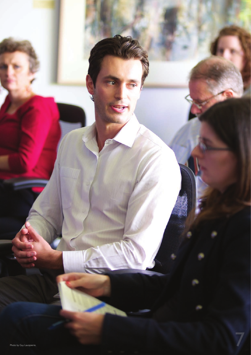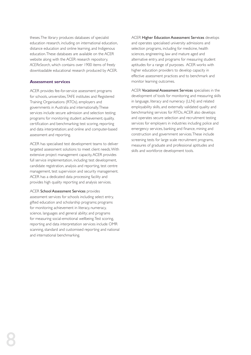theses. The library produces databases of specialist education research, including on international education, distance education and online learning, and Indigenous education. These databases are available on the ACER website along with the ACER research repository, *ACEReSearch*, which contains over 1900 items of freely downloadable educational research produced by ACER.

#### **Assessment services**

ACER provides fee-for-service assessment programs for schools, universities, TAFE institutes and Registered Training Organisations (RTOs), employers and governments in Australia and internationally. These services include secure admission and selection testing; programs for monitoring student achievement; quality, certification and benchmarking; test scoring, reporting and data interpretation; and online and computer-based assessment and reporting.

ACER has specialised test development teams to deliver targeted assessment solutions to meet client needs. With extensive project management capacity, ACER provides full service implementation, including: test development, candidate registration, analysis and reporting, test centre management, test supervision and security management. ACER has a dedicated data processing facility and provides high quality reporting and analysis services.

#### ACER School Assessment Services provides

assessment services for schools including select entry, gifted education and scholarship programs; programs for monitoring achievement in literacy, numeracy, science, languages and general ability; and programs for measuring social-emotional wellbeing. Test scoring, reporting and data interpretation services include OMR scanning, standard and customised reporting and national and international benchmarking.

ACER Higher Education Assessment Services develops and operates specialised university admissions and selection programs, including for medicine, health sciences, engineering, law and mature aged and alternative entry, and programs for measuring student aptitudes for a range of purposes. ACER works with higher education providers to develop capacity in effective assessment practices and to benchmark and monitor learning outcomes.

ACER Vocational Assessment Services specialises in the development of tools for monitoring and measuring skills in language, literacy and numeracy (LLN) and related employability skills, and externally validated quality and benchmarking services for RTOs. ACER also develops and operates secure selection and recruitment testing services for employers in industries including police and emergency services, banking and finance, mining and construction and government services. These include screening tests for large scale recruitment programs, measures of graduate and professional aptitudes and skills and workforce development tools.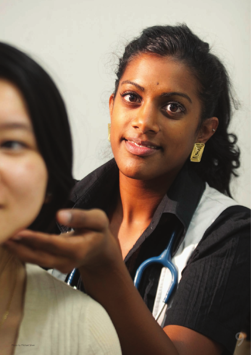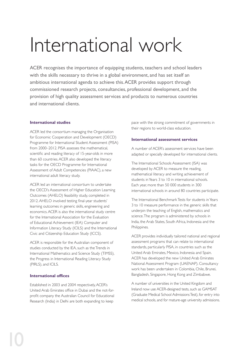## International work

ACER recognises the importance of equipping students, teachers and school leaders with the skills necessary to thrive in a global environment, and has set itself an ambitious international agenda to achieve this. ACER provides support through commissioned research projects, consultancies, professional development, and the provision of high quality assessment services and products to numerous countries and international clients.

#### **International studies**

ACER led the consortium managing the Organisation for Economic Cooperation and Development (OECD) Programme for International Student Assessment (PISA) from 2000–2012. PISA assesses the mathematical, scientific and reading literacy of 15-year-olds in more than 60 countries. ACER also developed the literacy tasks for the OECD Programme for International Assessment of Adult Competencies (PIAAC), a new international adult literacy study.

ACER led an international consortium to undertake the OECD's Assessment of Higher Education Learning Outcomes (AHELO) feasibility study, completed in 2012. AHELO involved testing final-year students' learning outcomes in generic skills, engineering and economics. ACER is also the international study centre for the International Association for the Evaluation of Educational Achievement (IEA) Computer and Information Literacy Study (ICILS) and the International Civic and Citizenship Education Study (ICCS).

ACER is responsible for the Australian component of studies conducted by the IEA, such as the Trends in International Mathematics and Science Study (TIMSS), the Progress in International Reading Literacy Study (PIRLS), and ICILS.

#### **International offices**

Established in 2003 and 2004 respectively, ACER's United Arab Emirates office in Dubai and the not-forprofit company the Australian Council for Educational Research (India) in Delhi are both expanding to keep

pace with the strong commitment of governments in their regions to world-class education.

#### **International assessment services**

A number of ACER's assessment services have been adapted or specially developed for international clients.

The International Schools Assessment (ISA) was developed by ACER to measure the reading, mathematical literacy and writing achievement of students in Years 3 to 10 in international schools. Each year, more than 50 000 students in 300 international schools in around 80 countries participate.

The International Benchmark Tests for students in Years 3 to 10 measure performance in the generic skills that underpin the teaching of English, mathematics and science. The program is administered by schools in India, the Arab States, South Africa, Indonesia and the Philippines.

ACER provides individually tailored national and regional assessment programs that can relate to international standards, particularly PISA, in countries such as the United Arab Emirates, Mexico, Indonesia and Spain. ACER has developed the new United Arab Emirates National Assessment Program (UAENAP). Consultancy work has been undertaken in Colombia, Chile, Brunei, Bangladesh, Singapore, Hong Kong and Zimbabwe.

A number of universities in the United Kingdom and Ireland now use ACER-designed tests, such as GAMSAT (Graduate Medical School Admissions Test), for entry into medical schools, and for mature-age university admissions.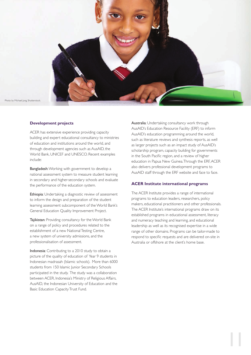

#### **Development projects**

ACER has extensive experience providing capacity building and expert educational consultancy to ministries of education and institutions around the world, and through development agencies such as AusAID, the World Bank, UNICEF and UNESCO. Recent examples include:

Bangladesh: Working with government to develop a national assessment system to measure student learning in secondary and higher-secondary schools and evaluate the performance of the education system.

Ethiopia: Undertaking a diagnostic review of assessment to inform the design and preparation of the student learning assessment subcomponent of the World Bank's General Education Quality Improvement Project.

Tajikistan: Providing consultancy for the World Bank on a range of policy and procedures related to the establishment of a new National Testing Centre, a new system of university admissions, and the professionalisation of assessment.

Indonesia: Contributing to a 2010 study to obtain a picture of the quality of education of Year 9 students in Indonesian madrasah (Islamic schools). More than 6000 students from 150 Islamic Junior Secondary Schools participated in the study. The study was a collaboration between ACER, Indonesia's Ministry of Religious Affairs, AusAID, the Indonesian University of Education and the Basic Education Capacity Trust Fund.

Australia: Undertaking consultancy work through AusAID's Education Resource Facility (ERF) to inform AusAID's education programming around the world, such as literature reviews and synthesis reports, as well as larger projects such as an impact study of AusAID's scholarship program, capacity building for governments in the South Pacific region, and a review of higher education in Papua New Guinea. Through the ERF, ACER also delivers professional development programs to AusAID staff through the ERF website and face to face.

#### **ACER Institute international programs**

The ACER Institute provides a range of international programs to education leaders, researchers, policy makers, educational practitioners and other professionals. The ACER Institute's international programs draw on its established programs in educational assessment, literacy and numeracy teaching and learning, and educational leadership as well as its recognised expertise in a wide range of other domains. Programs can be tailor-made to respond to specific requests and are delivered on-site in Australia or offshore at the client's home base.

11